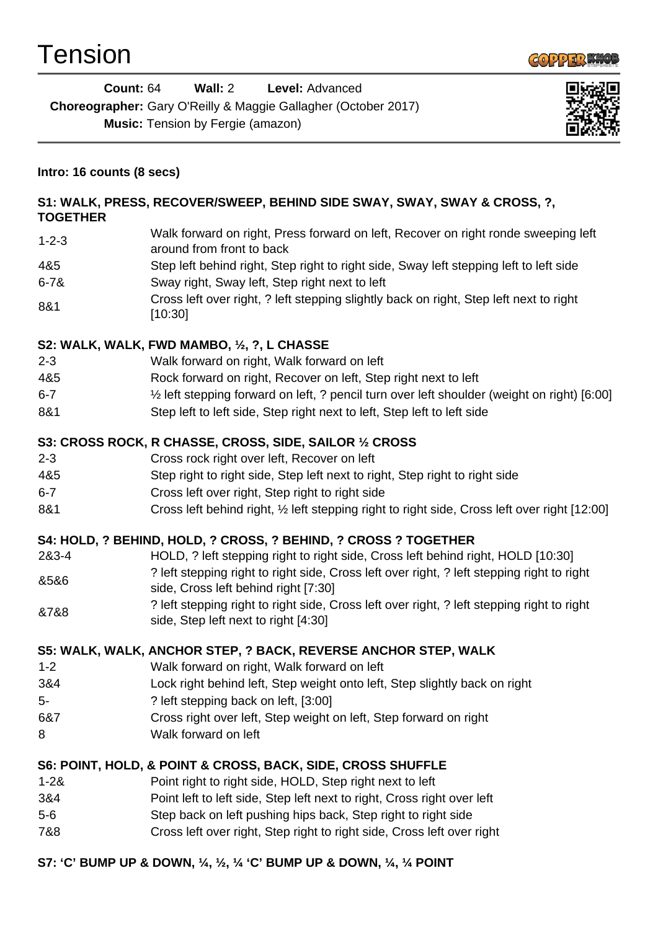



| Count: 64                                | Wall: $2 \overline{ }$ | <b>Level:</b> Advanced                                                |  |
|------------------------------------------|------------------------|-----------------------------------------------------------------------|--|
|                                          |                        | <b>Choreographer:</b> Gary O'Reilly & Maggie Gallagher (October 2017) |  |
| <b>Music:</b> Tension by Fergie (amazon) |                        |                                                                       |  |

**Intro: 16 counts (8 secs)**

# **S1: WALK, PRESS, RECOVER/SWEEP, BEHIND SIDE SWAY, SWAY, SWAY & CROSS, ?, TOGETHER**

- 1-2-3 Walk forward on right, Press forward on left, Recover on right ronde sweeping left around from front to back
- 4&5 Step left behind right, Step right to right side, Sway left stepping left to left side 6-7& Sway right, Sway left, Step right next to left
- 8&1 Cross left over right, ? left stepping slightly back on right, Step left next to right [10:30]

#### **S2: WALK, WALK, FWD MAMBO, ½, ?, L CHASSE**

- 2-3 Walk forward on right, Walk forward on left
- 4&5 Rock forward on right, Recover on left, Step right next to left
- 6-7 ½ left stepping forward on left, ? pencil turn over left shoulder (weight on right) [6:00]
- 8&1 Step left to left side, Step right next to left, Step left to left side

#### **S3: CROSS ROCK, R CHASSE, CROSS, SIDE, SAILOR ½ CROSS**

- 2-3 Cross rock right over left, Recover on left
- 4&5 Step right to right side, Step left next to right, Step right to right side
- 6-7 Cross left over right, Step right to right side
- 8&1 Cross left behind right, 1/2 left stepping right to right side, Cross left over right [12:00]

### **S4: HOLD, ? BEHIND, HOLD, ? CROSS, ? BEHIND, ? CROSS ? TOGETHER**

- 2&3-4 HOLD, ? left stepping right to right side, Cross left behind right, HOLD [10:30] &5&6 ? left stepping right to right side, Cross left over right, ? left stepping right to right side, Cross left behind right [7:30]
- &7&8 ? left stepping right to right side, Cross left over right, ? left stepping right to right side, Step left next to right [4:30]

### **S5: WALK, WALK, ANCHOR STEP, ? BACK, REVERSE ANCHOR STEP, WALK**

- 1-2 Walk forward on right, Walk forward on left
- 3&4 Lock right behind left, Step weight onto left, Step slightly back on right
- 5- ? left stepping back on left, [3:00]
- 6&7 Cross right over left, Step weight on left, Step forward on right
- 8 Walk forward on left

### **S6: POINT, HOLD, & POINT & CROSS, BACK, SIDE, CROSS SHUFFLE**

- 1-2& Point right to right side, HOLD, Step right next to left
- 3&4 Point left to left side, Step left next to right, Cross right over left
- 5-6 Step back on left pushing hips back, Step right to right side
- 7&8 Cross left over right, Step right to right side, Cross left over right

### **S7: 'C' BUMP UP & DOWN, ¼, ½, ¼ 'C' BUMP UP & DOWN, ¼, ¼ POINT**